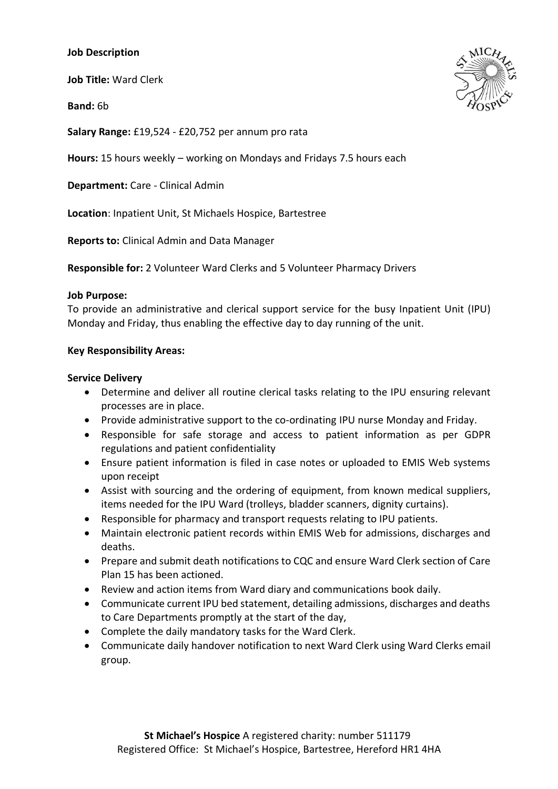## **Job Description**

**Job Title:** Ward Clerk

**Band:** 6b



**Salary Range:** £19,524 - £20,752 per annum pro rata

**Hours:** 15 hours weekly – working on Mondays and Fridays 7.5 hours each

**Department:** Care - Clinical Admin

**Location**: Inpatient Unit, St Michaels Hospice, Bartestree

**Reports to:** Clinical Admin and Data Manager

**Responsible for:** 2 Volunteer Ward Clerks and 5 Volunteer Pharmacy Drivers

#### **Job Purpose:**

To provide an administrative and clerical support service for the busy Inpatient Unit (IPU) Monday and Friday, thus enabling the effective day to day running of the unit.

### **Key Responsibility Areas:**

### **Service Delivery**

- Determine and deliver all routine clerical tasks relating to the IPU ensuring relevant processes are in place.
- Provide administrative support to the co-ordinating IPU nurse Monday and Friday.
- Responsible for safe storage and access to patient information as per GDPR regulations and patient confidentiality
- Ensure patient information is filed in case notes or uploaded to EMIS Web systems upon receipt
- Assist with sourcing and the ordering of equipment, from known medical suppliers, items needed for the IPU Ward (trolleys, bladder scanners, dignity curtains).
- Responsible for pharmacy and transport requests relating to IPU patients.
- Maintain electronic patient records within EMIS Web for admissions, discharges and deaths.
- Prepare and submit death notifications to CQC and ensure Ward Clerk section of Care Plan 15 has been actioned.
- Review and action items from Ward diary and communications book daily.
- Communicate current IPU bed statement, detailing admissions, discharges and deaths to Care Departments promptly at the start of the day,
- Complete the daily mandatory tasks for the Ward Clerk.
- Communicate daily handover notification to next Ward Clerk using Ward Clerks email group.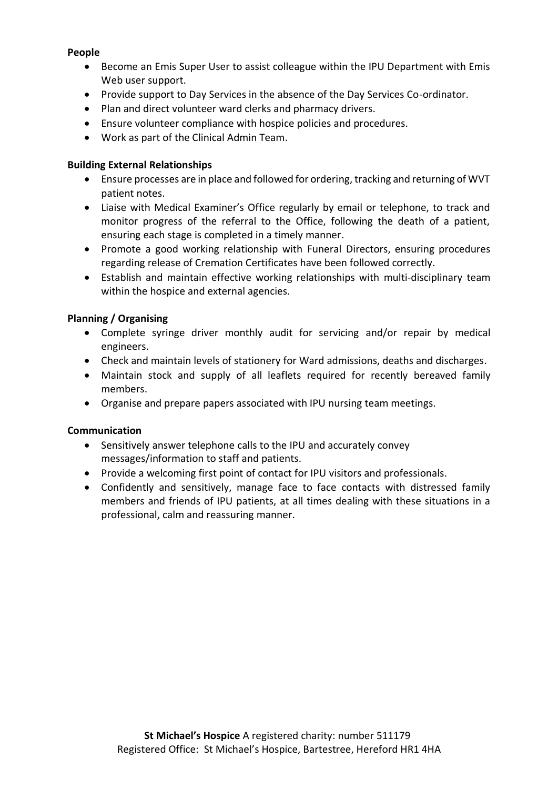## **People**

- Become an Emis Super User to assist colleague within the IPU Department with Emis Web user support.
- Provide support to Day Services in the absence of the Day Services Co-ordinator.
- Plan and direct volunteer ward clerks and pharmacy drivers.
- Ensure volunteer compliance with hospice policies and procedures.
- Work as part of the Clinical Admin Team.

## **Building External Relationships**

- Ensure processes are in place and followed for ordering, tracking and returning of WVT patient notes.
- Liaise with Medical Examiner's Office regularly by email or telephone, to track and monitor progress of the referral to the Office, following the death of a patient, ensuring each stage is completed in a timely manner.
- Promote a good working relationship with Funeral Directors, ensuring procedures regarding release of Cremation Certificates have been followed correctly.
- Establish and maintain effective working relationships with multi-disciplinary team within the hospice and external agencies.

# **Planning / Organising**

- Complete syringe driver monthly audit for servicing and/or repair by medical engineers.
- Check and maintain levels of stationery for Ward admissions, deaths and discharges.
- Maintain stock and supply of all leaflets required for recently bereaved family members.
- Organise and prepare papers associated with IPU nursing team meetings.

### **Communication**

- Sensitively answer telephone calls to the IPU and accurately convey messages/information to staff and patients.
- Provide a welcoming first point of contact for IPU visitors and professionals.
- Confidently and sensitively, manage face to face contacts with distressed family members and friends of IPU patients, at all times dealing with these situations in a professional, calm and reassuring manner.